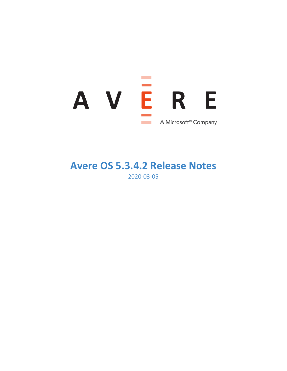

## **Avere OS 5.3.4.2 Release Notes** 2020-03-05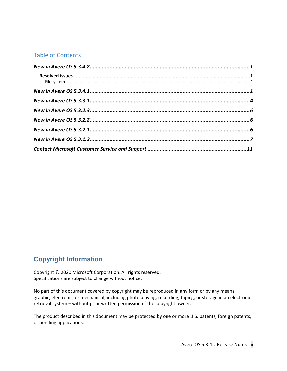## Table of Contents

## **Copyright Information**

Copyright © 2020 Microsoft Corporation. All rights reserved. Specifications are subject to change without notice.

No part of this document covered by copyright may be reproduced in any form or by any means – graphic, electronic, or mechanical, including photocopying, recording, taping, or storage in an electronic retrieval system – without prior written permission of the copyright owner.

The product described in this document may be protected by one or more U.S. patents, foreign patents, or pending applications.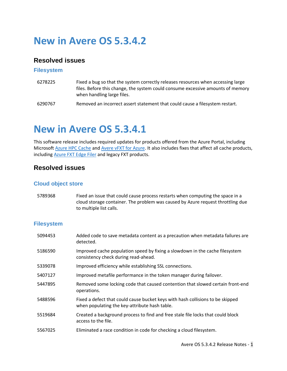## <span id="page-2-0"></span>**New in Avere OS 5.3.4.2**

### <span id="page-2-1"></span>**Resolved issues**

#### <span id="page-2-2"></span>**Filesystem**

- [6278225](https://msazure.visualstudio.com/One/_workitems/edit/6278225) Fixed a bug so that the system correctly releases resources when accessing large files. Before this change, the system could consume excessive amounts of memory when handling large files.
- 6290767 Removed an incorrect assert statement that could cause a filesystem restart.

## <span id="page-2-3"></span>**New in Avere OS 5.3.4.1**

This software release includes required updates for products offered from the Azure Portal, including Microsoft [Azure HPC Cache](https://azure.microsoft.com/services/hpc-cache) and [Avere vFXT for Azure.](https://docs.microsoft.com/azure/avere-vfxt/) It also includes fixes that affect all cache products, including [Azure FXT Edge Filer](https://docs.microsoft.com/azure/fxt-edge-filer/) and legacy FXT products.

## **Resolved issues**

#### **Cloud object store**

5789368 Fixed an issue that could cause process restarts when computing the space in a cloud storage container. The problem was caused by Azure request throttling due to multiple list calls.

| Added code to save metadata content as a precaution when metadata failures are<br>detected.                                     |
|---------------------------------------------------------------------------------------------------------------------------------|
| Improved cache population speed by fixing a slowdown in the cache filesystem<br>consistency check during read-ahead.            |
| Improved efficiency while establishing SSL connections.                                                                         |
| Improved metafile performance in the token manager during failover.                                                             |
| Removed some locking code that caused contention that slowed certain front-end<br>operations.                                   |
| Fixed a defect that could cause bucket keys with hash collisions to be skipped<br>when populating the key-attribute hash table. |
|                                                                                                                                 |
| Created a background process to find and free stale file locks that could block<br>access to the file.                          |
|                                                                                                                                 |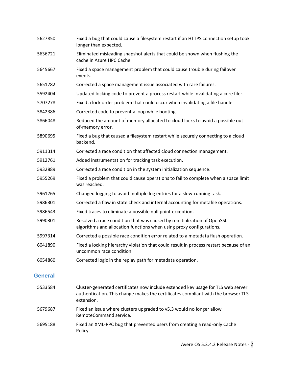| 5627850 | Fixed a bug that could cause a filesystem restart if an HTTPS connection setup took<br>longer than expected.                                     |
|---------|--------------------------------------------------------------------------------------------------------------------------------------------------|
| 5636721 | Eliminated misleading snapshot alerts that could be shown when flushing the<br>cache in Azure HPC Cache.                                         |
| 5645667 | Fixed a space management problem that could cause trouble during failover<br>events.                                                             |
| 5651782 | Corrected a space management issue associated with rare failures.                                                                                |
| 5592404 | Updated locking code to prevent a process restart while invalidating a core filer.                                                               |
| 5707278 | Fixed a lock order problem that could occur when invalidating a file handle.                                                                     |
| 5842386 | Corrected code to prevent a loop while booting.                                                                                                  |
| 5866048 | Reduced the amount of memory allocated to cloud locks to avoid a possible out-<br>of-memory error.                                               |
| 5890695 | Fixed a bug that caused a filesystem restart while securely connecting to a cloud<br>backend.                                                    |
| 5911314 | Corrected a race condition that affected cloud connection management.                                                                            |
| 5912761 | Added instrumentation for tracking task execution.                                                                                               |
| 5932889 | Corrected a race condition in the system initialization sequence.                                                                                |
| 5955269 | Fixed a problem that could cause operations to fail to complete when a space limit<br>was reached.                                               |
| 5961765 | Changed logging to avoid multiple log entries for a slow-running task.                                                                           |
| 5986301 | Corrected a flaw in state check and internal accounting for metafile operations.                                                                 |
| 5986543 | Fixed traces to eliminate a possible null point exception.                                                                                       |
| 5990301 | Resolved a race condition that was caused by reinitialization of OpenSSL<br>algorithms and allocation functions when using proxy configurations. |
| 5997314 | Corrected a possible race condition error related to a metadata flush operation.                                                                 |
| 6041890 | Fixed a locking hierarchy violation that could result in process restart because of an<br>uncommon race condition.                               |
| 6054860 | Corrected logic in the replay path for metadata operation.                                                                                       |

#### **General**

| 5533584 | Cluster-generated certificates now include extended key usage for TLS web server<br>authentication. This change makes the certificates compliant with the browser TLS<br>extension. |
|---------|-------------------------------------------------------------------------------------------------------------------------------------------------------------------------------------|
| 5679687 | Fixed an issue where clusters upgraded to v5.3 would no longer allow<br>RemoteCommand service.                                                                                      |
| 5695188 | Fixed an XML-RPC bug that prevented users from creating a read-only Cache<br>Policy.                                                                                                |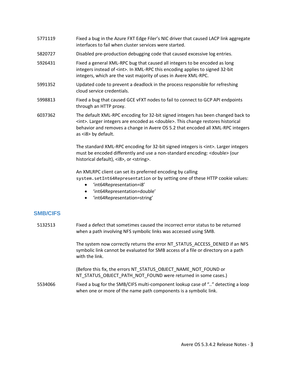- 5771119 Fixed a bug in the Azure FXT Edge Filer's NIC driver that caused LACP link aggregate interfaces to fail when cluster services were started.
- 5820727 Disabled pre-production debugging code that caused excessive log entries.
- 5926431 Fixed a general XML-RPC bug that caused all integers to be encoded as long integers instead of <int>. In XML-RPC this encoding applies to signed 32-bit integers, which are the vast majority of uses in Avere XML-RPC.
- 5991352 Updated code to prevent a deadlock in the process responsible for refreshing cloud service credentials.
- 5998813 Fixed a bug that caused GCE vFXT nodes to fail to connect to GCP API endpoints through an HTTP proxy.
- 6037362 The default XML-RPC encoding for 32-bit signed integers has been changed back to <int>. Larger integers are encoded as <double>. This change restores historical behavior and removes a change in Avere OS 5.2 that encoded all XML-RPC integers as <i8> by default.

The standard XML-RPC encoding for 32-bit signed integers is <int>. Larger integers must be encoded differently and use a non-standard encoding: <double> (our historical default), <i8>, or <string>.

An XMLRPC client can set its preferred encoding by calling

system.setInt64Representation or by setting one of these HTTP cookie values:

- 'int64Representation=i8'
- 'int64Representation=double'
- 'int64Representation=string'

#### **SMB/CIFS**

5132513 Fixed a defect that sometimes caused the incorrect error status to be returned when a path involving NFS symbolic links was accessed using SMB.

> The system now correctly returns the error NT\_STATUS\_ACCESS\_DENIED if an NFS symbolic link cannot be evaluated for SMB access of a file or directory on a path with the link.

(Before this fix, the errors NT\_STATUS\_OBJECT\_NAME\_NOT\_FOUND or NT\_STATUS\_OBJECT\_PATH\_NOT\_FOUND were returned in some cases.)

5534066 Fixed a bug for the SMB/CIFS multi-component lookup case of ".." detecting a loop when one or more of the name path components is a symbolic link.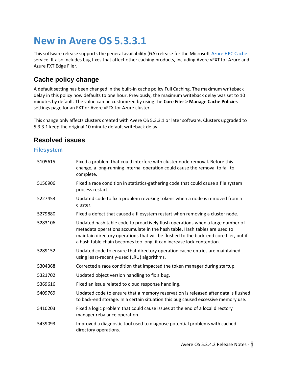# <span id="page-5-0"></span>**New in Avere OS 5.3.3.1**

This software release supports the general availability (GA) release for the Microsoft [Azure HPC Cache](https://azure.microsoft.com/services/hpc-cache) service. It also includes bug fixes that affect other caching products, including Avere vFXT for Azure and Azure FXT Edge Filer.

## **Cache policy change**

A default setting has been changed in the built-in cache policy Full Caching. The maximum writeback delay in this policy now defaults to one hour. Previously, the maximum writeback delay was set to 10 minutes by default. The value can be customized by using the **Core Filer** > **Manage Cache Policies** settings page for an FXT or Avere vFTX for Azure cluster.

This change only affects clusters created with Avere OS 5.3.3.1 or later software. Clusters upgraded to 5.3.3.1 keep the original 10 minute default writeback delay.

### **Resolved issues**

| 5105615 | Fixed a problem that could interfere with cluster node removal. Before this<br>change, a long-running internal operation could cause the removal to fail to<br>complete.                                                                                                                                                      |
|---------|-------------------------------------------------------------------------------------------------------------------------------------------------------------------------------------------------------------------------------------------------------------------------------------------------------------------------------|
| 5156906 | Fixed a race condition in statistics-gathering code that could cause a file system<br>process restart.                                                                                                                                                                                                                        |
| 5227453 | Updated code to fix a problem revoking tokens when a node is removed from a<br>cluster.                                                                                                                                                                                                                                       |
| 5279880 | Fixed a defect that caused a filesystem restart when removing a cluster node.                                                                                                                                                                                                                                                 |
| 5283106 | Updated hash table code to proactively flush operations when a large number of<br>metadata operations accumulate in the hash table. Hash tables are used to<br>maintain directory operations that will be flushed to the back-end core filer, but if<br>a hash table chain becomes too long, it can increase lock contention. |
| 5289152 | Updated code to ensure that directory operation cache entries are maintained<br>using least-recently-used (LRU) algorithms.                                                                                                                                                                                                   |
| 5304368 | Corrected a race condition that impacted the token manager during startup.                                                                                                                                                                                                                                                    |
| 5321702 | Updated object version handling to fix a bug.                                                                                                                                                                                                                                                                                 |
| 5369616 | Fixed an issue related to cloud response handling.                                                                                                                                                                                                                                                                            |
| 5409769 | Updated code to ensure that a memory reservation is released after data is flushed<br>to back-end storage. In a certain situation this bug caused excessive memory use.                                                                                                                                                       |
| 5410203 | Fixed a logic problem that could cause issues at the end of a local directory<br>manager rebalance operation.                                                                                                                                                                                                                 |
| 5439093 | Improved a diagnostic tool used to diagnose potential problems with cached<br>directory operations.                                                                                                                                                                                                                           |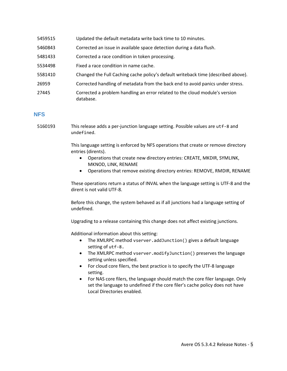| 5459515 | Updated the default metadata write back time to 10 minutes.                              |
|---------|------------------------------------------------------------------------------------------|
| 5460843 | Corrected an issue in available space detection during a data flush.                     |
| 5481433 | Corrected a race condition in token processing.                                          |
| 5534498 | Fixed a race condition in name cache.                                                    |
| 5581410 | Changed the Full Caching cache policy's default writeback time (described above).        |
| 26959   | Corrected handling of metadata from the back end to avoid panics under stress.           |
| 27445   | Corrected a problem handling an error related to the cloud module's version<br>database. |

#### **NFS**

5160193 This release adds a per-junction language setting. Possible values are utf-8 and undefined.

> This language setting is enforced by NFS operations that create or remove directory entries (dirents).

- Operations that create new directory entries: CREATE, MKDIR, SYMLINK, MKNOD, LINK, RENAME
- Operations that remove existing directory entries: REMOVE, RMDIR, RENAME

These operations return a status of INVAL when the language setting is UTF-8 and the dirent is not valid UTF-8.

Before this change, the system behaved as if all junctions had a language setting of undefined.

Upgrading to a release containing this change does not affect existing junctions.

Additional information about this setting:

- The XMLRPC method vserver.addJunction() gives a default language setting of utf-8.
- The XMLRPC method vserver.modifyJunction() preserves the language setting unless specified.
- For cloud core filers, the best practice is to specify the UTF-8 language setting.
- For NAS core filers, the language should match the core filer language. Only set the language to undefined if the core filer's cache policy does not have Local Directories enabled.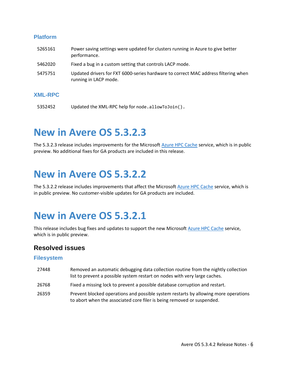#### **Platform**

| 5265161 | Power saving settings were updated for clusters running in Azure to give better<br>performance.             |
|---------|-------------------------------------------------------------------------------------------------------------|
| 5462020 | Fixed a bug in a custom setting that controls LACP mode.                                                    |
| 5475751 | Updated drivers for FXT 6000-series hardware to correct MAC address filtering when<br>running in LACP mode. |

#### **XML-RPC**

5352452 Updated the XML-RPC help for node.allowToJoin().

## <span id="page-7-0"></span>**New in Avere OS 5.3.2.3**

The 5.3.2.3 release includes improvements for the Microsoft [Azure HPC Cache](https://azure.microsoft.com/services/hpc-cache) service, which is in public preview. No additional fixes for GA products are included in this release.

## <span id="page-7-1"></span>**New in Avere OS 5.3.2.2**

The 5.3.2.2 release includes improvements that affect the Microsof[t Azure HPC Cache](https://azure.microsoft.com/services/hpc-cache) service, which is in public preview. No customer-visible updates for GA products are included.

## <span id="page-7-2"></span>**New in Avere OS 5.3.2.1**

This release includes bug fixes and updates to support the new Microsoft [Azure HPC Cache](https://azure.microsoft.com/services/hpc-cache) service, which is in public preview.

### **Resolved issues**

- 27448 Removed an automatic debugging data collection routine from the nightly collection list to prevent a possible system restart on nodes with very large caches.
- 26768 Fixed a missing lock to prevent a possible database corruption and restart.
- 26359 Prevent blocked operations and possible system restarts by allowing more operations to abort when the associated core filer is being removed or suspended.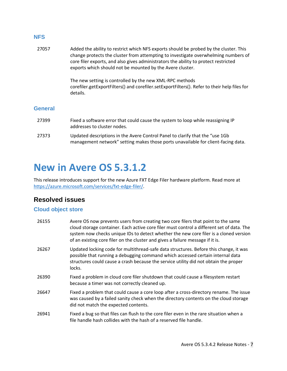#### **NFS**

| 27057          | Added the ability to restrict which NFS exports should be probed by the cluster. This<br>change protects the cluster from attempting to investigate overwhelming numbers of<br>core filer exports, and also gives administrators the ability to protect restricted<br>exports which should not be mounted by the Avere cluster. |
|----------------|---------------------------------------------------------------------------------------------------------------------------------------------------------------------------------------------------------------------------------------------------------------------------------------------------------------------------------|
|                | The new setting is controlled by the new XML-RPC methods<br>corefiler.getExportFilters() and corefiler.setExportFilters(). Refer to their help files for<br>details.                                                                                                                                                            |
| <b>General</b> |                                                                                                                                                                                                                                                                                                                                 |

- 27399 Fixed a software error that could cause the system to loop while reassigning IP addresses to cluster nodes. 27373 Updated descriptions in the Avere Control Panel to clarify that the "use 1Gb
- management network" setting makes those ports unavailable for client-facing data.

## <span id="page-8-0"></span>**New in Avere OS 5.3.1.2**

This release introduces support for the new Azure FXT Edge Filer hardware platform. Read more at [https://azure.microsoft.com/services/fxt-edge-filer/.](https://azure.microsoft.com/services/fxt-edge-filer/)

## **Resolved issues**

### **Cloud object store**

| 26155 | Avere OS now prevents users from creating two core filers that point to the same<br>cloud storage container. Each active core filer must control a different set of data. The<br>system now checks unique IDs to detect whether the new core filer is a cloned version<br>of an existing core filer on the cluster and gives a failure message if it is. |
|-------|----------------------------------------------------------------------------------------------------------------------------------------------------------------------------------------------------------------------------------------------------------------------------------------------------------------------------------------------------------|
| 26267 | Updated locking code for multithread-safe data structures. Before this change, it was<br>possible that running a debugging command which accessed certain internal data<br>structures could cause a crash because the service utility did not obtain the proper<br>locks.                                                                                |
| 26390 | Fixed a problem in cloud core filer shutdown that could cause a filesystem restart<br>because a timer was not correctly cleaned up.                                                                                                                                                                                                                      |
| 26647 | Fixed a problem that could cause a core loop after a cross-directory rename. The issue<br>was caused by a failed sanity check when the directory contents on the cloud storage<br>did not match the expected contents.                                                                                                                                   |
| 26941 | Fixed a bug so that files can flush to the core filer even in the rare situation when a<br>file handle hash collides with the hash of a reserved file handle.                                                                                                                                                                                            |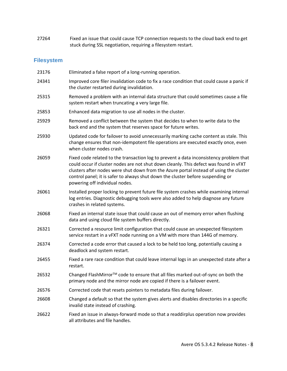27264 Fixed an issue that could cause TCP connection requests to the cloud back end to get stuck during SSL negotiation, requiring a filesystem restart.

| 23176 | Eliminated a false report of a long-running operation.                                                                                                                                                                                                                                                                                                                                         |
|-------|------------------------------------------------------------------------------------------------------------------------------------------------------------------------------------------------------------------------------------------------------------------------------------------------------------------------------------------------------------------------------------------------|
| 24341 | Improved core filer invalidation code to fix a race condition that could cause a panic if<br>the cluster restarted during invalidation.                                                                                                                                                                                                                                                        |
| 25315 | Removed a problem with an internal data structure that could sometimes cause a file<br>system restart when truncating a very large file.                                                                                                                                                                                                                                                       |
| 25853 | Enhanced data migration to use all nodes in the cluster.                                                                                                                                                                                                                                                                                                                                       |
| 25929 | Removed a conflict between the system that decides to when to write data to the<br>back end and the system that reserves space for future writes.                                                                                                                                                                                                                                              |
| 25930 | Updated code for failover to avoid unnecessarily marking cache content as stale. This<br>change ensures that non-idempotent file operations are executed exactly once, even<br>when cluster nodes crash.                                                                                                                                                                                       |
| 26059 | Fixed code related to the transaction log to prevent a data inconsistency problem that<br>could occur if cluster nodes are not shut down cleanly. This defect was found in vFXT<br>clusters after nodes were shut down from the Azure portal instead of using the cluster<br>control panel; it is safer to always shut down the cluster before suspending or<br>powering off individual nodes. |
| 26061 | Installed proper locking to prevent future file system crashes while examining internal<br>log entries. Diagnostic debugging tools were also added to help diagnose any future<br>crashes in related systems.                                                                                                                                                                                  |
| 26068 | Fixed an internal state issue that could cause an out of memory error when flushing<br>data and using cloud file system buffers directly.                                                                                                                                                                                                                                                      |
| 26321 | Corrected a resource limit configuration that could cause an unexpected filesystem<br>service restart in a vFXT node running on a VM with more than 144G of memory.                                                                                                                                                                                                                            |
| 26374 | Corrected a code error that caused a lock to be held too long, potentially causing a<br>deadlock and system restart.                                                                                                                                                                                                                                                                           |
| 26455 | Fixed a rare race condition that could leave internal logs in an unexpected state after a<br>restart.                                                                                                                                                                                                                                                                                          |
| 26532 | Changed FlashMirror™ code to ensure that all files marked out-of-sync on both the<br>primary node and the mirror node are copied if there is a failover event.                                                                                                                                                                                                                                 |
| 26576 | Corrected code that resets pointers to metadata files during failover.                                                                                                                                                                                                                                                                                                                         |
| 26608 | Changed a default so that the system gives alerts and disables directories in a specific<br>invalid state instead of crashing.                                                                                                                                                                                                                                                                 |
| 26622 | Fixed an issue in always-forward mode so that a readdirplus operation now provides<br>all attributes and file handles.                                                                                                                                                                                                                                                                         |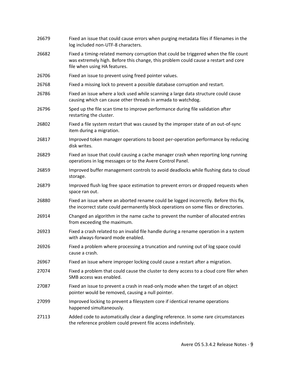| 26679 | Fixed an issue that could cause errors when purging metadata files if filenames in the<br>log included non-UTF-8 characters.                                                                                |
|-------|-------------------------------------------------------------------------------------------------------------------------------------------------------------------------------------------------------------|
| 26682 | Fixed a timing-related memory corruption that could be triggered when the file count<br>was extremely high. Before this change, this problem could cause a restart and core<br>file when using HA features. |
| 26706 | Fixed an issue to prevent using freed pointer values.                                                                                                                                                       |
| 26768 | Fixed a missing lock to prevent a possible database corruption and restart.                                                                                                                                 |
| 26786 | Fixed an issue where a lock used while scanning a large data structure could cause<br>causing which can cause other threads in armada to watchdog.                                                          |
| 26796 | Sped up the file scan time to improve performance during file validation after<br>restarting the cluster.                                                                                                   |
| 26802 | Fixed a file system restart that was caused by the improper state of an out-of-sync<br>item during a migration.                                                                                             |
| 26817 | Improved token manager operations to boost per-operation performance by reducing<br>disk writes.                                                                                                            |
| 26829 | Fixed an issue that could causing a cache manager crash when reporting long running<br>operations in log messages or to the Avere Control Panel.                                                            |
| 26859 | Improved buffer management controls to avoid deadlocks while flushing data to cloud<br>storage.                                                                                                             |
| 26879 | Improved flush log free space estimation to prevent errors or dropped requests when<br>space ran out.                                                                                                       |
| 26880 | Fixed an issue where an aborted rename could be logged incorrectly. Before this fix,<br>the incorrect state could permanently block operations on some files or directories.                                |
| 26914 | Changed an algorithm in the name cache to prevent the number of allocated entries<br>from exceeding the maximum.                                                                                            |
| 26923 | Fixed a crash related to an invalid file handle during a rename operation in a system<br>with always-forward mode enabled.                                                                                  |
| 26926 | Fixed a problem where processing a truncation and running out of log space could<br>cause a crash.                                                                                                          |
| 26967 | Fixed an issue where improper locking could cause a restart after a migration.                                                                                                                              |
| 27074 | Fixed a problem that could cause the cluster to deny access to a cloud core filer when<br>SMB access was enabled.                                                                                           |
| 27087 | Fixed an issue to prevent a crash in read-only mode when the target of an object<br>pointer would be removed, causing a null pointer.                                                                       |
| 27099 | Improved locking to prevent a filesystem core if identical rename operations<br>happened simultaneously.                                                                                                    |
| 27113 | Added code to automatically clear a dangling reference. In some rare circumstances<br>the reference problem could prevent file access indefinitely.                                                         |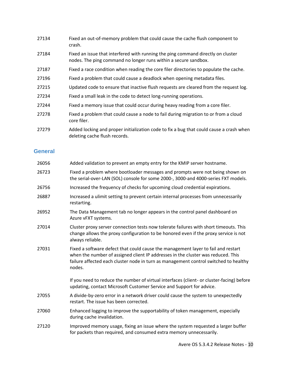| 27134 | Fixed an out-of-memory problem that could cause the cache flush component to<br>crash.                                                              |
|-------|-----------------------------------------------------------------------------------------------------------------------------------------------------|
| 27184 | Fixed an issue that interfered with running the ping command directly on cluster<br>nodes. The ping command no longer runs within a secure sandbox. |
| 27187 | Fixed a race condition when reading the core filer directories to populate the cache.                                                               |
| 27196 | Fixed a problem that could cause a deadlock when opening metadata files.                                                                            |
| 27215 | Updated code to ensure that inactive flush requests are cleared from the request log.                                                               |
| 27234 | Fixed a small leak in the code to detect long-running operations.                                                                                   |
| 27244 | Fixed a memory issue that could occur during heavy reading from a core filer.                                                                       |
| 27278 | Fixed a problem that could cause a node to fail during migration to or from a cloud<br>core filer.                                                  |
| 27279 | Added locking and proper initialization code to fix a bug that could cause a crash when<br>deleting cache flush records.                            |

### **General**

| 26056 | Added validation to prevent an empty entry for the KMIP server hostname.                                                                                                                                                                                                |
|-------|-------------------------------------------------------------------------------------------------------------------------------------------------------------------------------------------------------------------------------------------------------------------------|
| 26723 | Fixed a problem where bootloader messages and prompts were not being shown on<br>the serial-over-LAN (SOL) console for some 2000-, 3000-and 4000-series FXT models.                                                                                                     |
| 26756 | Increased the frequency of checks for upcoming cloud credential expirations.                                                                                                                                                                                            |
| 26887 | Increased a ulimit setting to prevent certain internal processes from unnecessarily<br>restarting.                                                                                                                                                                      |
| 26952 | The Data Management tab no longer appears in the control panel dashboard on<br>Azure vFXT systems.                                                                                                                                                                      |
| 27014 | Cluster proxy server connection tests now tolerate failures with short timeouts. This<br>change allows the proxy configuration to be honored even if the proxy service is not<br>always reliable.                                                                       |
| 27031 | Fixed a software defect that could cause the management layer to fail and restart<br>when the number of assigned client IP addresses in the cluster was reduced. This<br>failure affected each cluster node in turn as management control switched to healthy<br>nodes. |
|       | If you need to reduce the number of virtual interfaces (client- or cluster-facing) before<br>updating, contact Microsoft Customer Service and Support for advice.                                                                                                       |
| 27055 | A divide-by-zero error in a network driver could cause the system to unexpectedly<br>restart. The issue has been corrected.                                                                                                                                             |
| 27060 | Enhanced logging to improve the supportability of token management, especially<br>during cache invalidation.                                                                                                                                                            |
| 27120 | Improved memory usage, fixing an issue where the system requested a larger buffer<br>for packets than required, and consumed extra memory unnecessarily.                                                                                                                |
|       |                                                                                                                                                                                                                                                                         |